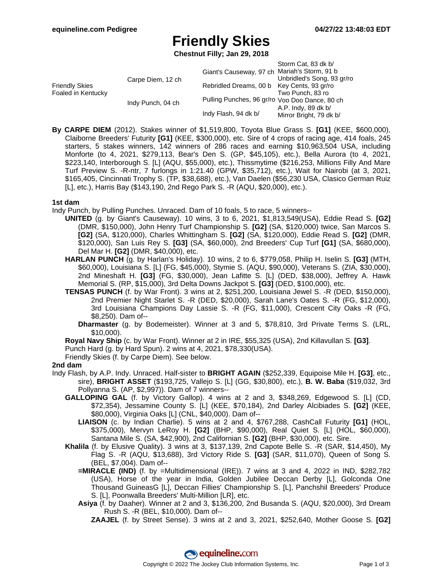## **Friendly Skies**

**Chestnut Filly; Jan 29, 2018**

|                                             |                   | Storm Cat, 83 dk b/                             |
|---------------------------------------------|-------------------|-------------------------------------------------|
| <b>Friendly Skies</b><br>Foaled in Kentucky |                   | Giant's Causeway, 97 ch Mariah's Storm, 91 b    |
|                                             | Carpe Diem, 12 ch | Unbridled's Song, 93 gr/ro                      |
|                                             |                   | Rebridled Dreams, 00 b Key Cents, 93 gr/ro      |
|                                             |                   | Two Punch, 83 ro                                |
|                                             | Indy Punch, 04 ch | Pulling Punches, 96 gr/ro Voo Doo Dance, 80 ch  |
|                                             |                   | A.P. Indy, 89 dk b/                             |
|                                             |                   | Indy Flash, 94 dk b/<br>Mirror Bright, 79 dk b/ |

**By CARPE DIEM** (2012). Stakes winner of \$1,519,800, Toyota Blue Grass S. **[G1]** (KEE, \$600,000), Claiborne Breeders' Futurity **[G1]** (KEE, \$300,000), etc. Sire of 4 crops of racing age, 414 foals, 245 starters, 5 stakes winners, 142 winners of 286 races and earning \$10,963,504 USA, including Monforte (to 4, 2021, \$279,113, Bear's Den S. (GP, \$45,105), etc.), Bella Aurora (to 4, 2021, \$223,140, Interborough S. [L] (AQU, \$55,000), etc.), Thissmytime (\$216,253, Millions Filly And Mare Turf Preview S. -R-ntr, 7 furlongs in 1:21.40 (GPW, \$35,712), etc.), Wait for Nairobi (at 3, 2021, \$165,405, Cincinnati Trophy S. (TP, \$38,688), etc.), Van Daelen (\$56,230 USA, Clasico German Ruiz [L], etc.), Harris Bay (\$143,190, 2nd Rego Park S. -R (AQU, \$20,000), etc.).

### **1st dam**

Indy Punch, by Pulling Punches. Unraced. Dam of 10 foals, 5 to race, 5 winners--

- **UNITED** (g. by Giant's Causeway). 10 wins, 3 to 6, 2021, \$1,813,549(USA), Eddie Read S. **[G2]** (DMR, \$150,000), John Henry Turf Championship S. **[G2]** (SA, \$120,000) twice, San Marcos S. **[G2]** (SA, \$120,000), Charles Whittingham S. **[G2]** (SA, \$120,000), Eddie Read S. **[G2]** (DMR, \$120,000), San Luis Rey S. **[G3]** (SA, \$60,000), 2nd Breeders' Cup Turf **[G1]** (SA, \$680,000), Del Mar H. **[G2]** (DMR, \$40,000), etc.
- **HARLAN PUNCH** (g. by Harlan's Holiday). 10 wins, 2 to 6, \$779,058, Philip H. Iselin S. **[G3]** (MTH, \$60,000), Louisiana S. [L] (FG, \$45,000), Stymie S. (AQU, \$90,000), Veterans S. (ZIA, \$30,000), 2nd Mineshaft H. **[G3]** (FG, \$30,000), Jean Lafitte S. [L] (DED, \$38,000), Jeffrey A. Hawk Memorial S. (RP, \$15,000), 3rd Delta Downs Jackpot S. **[G3]** (DED, \$100,000), etc.
- **TENSAS PUNCH** (f. by War Front). 3 wins at 2, \$251,200, Louisiana Jewel S. -R (DED, \$150,000), 2nd Premier Night Starlet S. -R (DED, \$20,000), Sarah Lane's Oates S. -R (FG, \$12,000), 3rd Louisiana Champions Day Lassie S. -R (FG, \$11,000), Crescent City Oaks -R (FG, \$8,250). Dam of--
	- **Dharmaster** (g. by Bodemeister). Winner at 3 and 5, \$78,810, 3rd Private Terms S. (LRL, \$10,000).

**Royal Navy Ship** (c. by War Front). Winner at 2 in IRE, \$55,325 (USA), 2nd Killavullan S. **[G3]**.

Punch Hard (g. by Hard Spun). 2 wins at 4, 2021, \$78,330(USA).

Friendly Skies (f. by Carpe Diem). See below.

### **2nd dam**

- Indy Flash, by A.P. Indy. Unraced. Half-sister to **BRIGHT AGAIN** (\$252,339, Equipoise Mile H. **[G3]**, etc., sire), **BRIGHT ASSET** (\$193,725, Vallejo S. [L] (GG, \$30,800), etc.), **B. W. Baba** (\$19,032, 3rd Pollyanna S. (AP, \$2,997)). Dam of 7 winners--
	- **GALLOPING GAL** (f. by Victory Gallop). 4 wins at 2 and 3, \$348,269, Edgewood S. [L] (CD, \$72,354), Jessamine County S. [L] (KEE, \$70,184), 2nd Darley Alcibiades S. **[G2]** (KEE, \$80,000), Virginia Oaks [L] (CNL, \$40,000). Dam of--
		- **LIAISON** (c. by Indian Charlie). 5 wins at 2 and 4, \$767,288, CashCall Futurity **[G1]** (HOL, \$375,000), Mervyn LeRoy H. **[G2]** (BHP, \$90,000), Real Quiet S. [L] (HOL, \$60,000), Santana Mile S. (SA, \$42,900), 2nd Californian S. **[G2]** (BHP, \$30,000), etc. Sire.
	- **Khalila** (f. by Elusive Quality). 3 wins at 3, \$137,139, 2nd Capote Belle S. -R (SAR, \$14,450), My Flag S. -R (AQU, \$13,688), 3rd Victory Ride S. **[G3]** (SAR, \$11,070), Queen of Song S. (BEL, \$7,004). Dam of--
		- **=MIRACLE (IND)** (f. by =Multidimensional (IRE)). 7 wins at 3 and 4, 2022 in IND, \$282,782 (USA), Horse of the year in India, Golden Jubilee Deccan Derby [L], Golconda One Thousand GuineasG [L], Deccan Fillies' Championship S. [L], Panchshil Breeders' Produce S. [L], Poonwalla Breeders' Multi-Million [LR], etc.
		- **Asiya** (f. by Daaher). Winner at 2 and 3, \$136,200, 2nd Busanda S. (AQU, \$20,000), 3rd Dream Rush S. -R (BEL, \$10,000). Dam of--

**ZAAJEL** (f. by Street Sense). 3 wins at 2 and 3, 2021, \$252,640, Mother Goose S. **[G2]**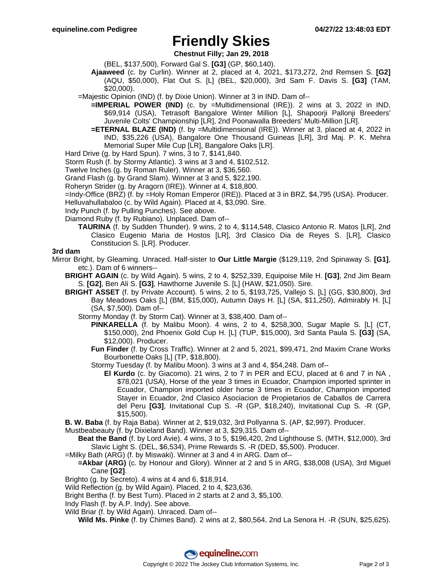## **Friendly Skies**

**Chestnut Filly; Jan 29, 2018**

- (BEL, \$137,500), Forward Gal S. **[G3]** (GP, \$60,140).
- **Ajaaweed** (c. by Curlin). Winner at 2, placed at 4, 2021, \$173,272, 2nd Remsen S. **[G2]** (AQU, \$50,000), Flat Out S. [L] (BEL, \$20,000), 3rd Sam F. Davis S. **[G3]** (TAM, \$20,000).
- =Majestic Opinion (IND) (f. by Dixie Union). Winner at 3 in IND. Dam of--
	- **=IMPERIAL POWER (IND)** (c. by =Multidimensional (IRE)). 2 wins at 3, 2022 in IND, \$69,914 (USA), Tetrasoft Bangalore Winter Million [L], Shapoorji Pallonji Breeders' Juvenile Colts' Championship [LR], 2nd Poonawalla Breeders' Multi-Million [LR].
	- **=ETERNAL BLAZE (IND)** (f. by =Multidimensional (IRE)). Winner at 3, placed at 4, 2022 in IND, \$35,226 (USA), Bangalore One Thousand Guineas [LR], 3rd Maj. P. K. Mehra Memorial Super Mile Cup [LR], Bangalore Oaks [LR].
- Hard Drive (g. by Hard Spun). 7 wins, 3 to 7, \$141,840.
- Storm Rush (f. by Stormy Atlantic). 3 wins at 3 and 4, \$102,512.
- Twelve Inches (g. by Roman Ruler). Winner at 3, \$36,560.
- Grand Flash (g. by Grand Slam). Winner at 3 and 5, \$22,190.
- Roheryn Strider (g. by Aragorn (IRE)). Winner at 4, \$18,800.
- =Indy-Office (BRZ) (f. by =Holy Roman Emperor (IRE)). Placed at 3 in BRZ, \$4,795 (USA). Producer.
- Helluvahullabaloo (c. by Wild Again). Placed at 4, \$3,090. Sire.
- Indy Punch (f. by Pulling Punches). See above.
- Diamond Ruby (f. by Rubiano). Unplaced. Dam of--
	- **TAURINA** (f. by Sudden Thunder). 9 wins, 2 to 4, \$114,548, Clasico Antonio R. Matos [LR], 2nd Clasico Eugenio Maria de Hostos [LR], 3rd Clasico Dia de Reyes S. [LR], Clasico Constitucion S. [LR]. Producer.

#### **3rd dam**

- Mirror Bright, by Gleaming. Unraced. Half-sister to **Our Little Margie** (\$129,119, 2nd Spinaway S. **[G1]**, etc.). Dam of 6 winners--
	- **BRIGHT AGAIN** (c. by Wild Again). 5 wins, 2 to 4, \$252,339, Equipoise Mile H. **[G3]**, 2nd Jim Beam S. **[G2]**, Ben Ali S. **[G3]**, Hawthorne Juvenile S. [L] (HAW, \$21,050). Sire.
	- **BRIGHT ASSET** (f. by Private Account). 5 wins, 2 to 5, \$193,725, Vallejo S. [L] (GG, \$30,800), 3rd Bay Meadows Oaks [L] (BM, \$15,000), Autumn Days H. [L] (SA, \$11,250), Admirably H. [L] (SA, \$7,500). Dam of--
		- Stormy Monday (f. by Storm Cat). Winner at 3, \$38,400. Dam of--
			- **PINKARELLA** (f. by Malibu Moon). 4 wins, 2 to 4, \$258,300, Sugar Maple S. [L] (CT, \$150,000), 2nd Phoenix Gold Cup H. [L] (TUP, \$15,000), 3rd Santa Paula S. **[G3]** (SA, \$12,000). Producer.
			- **Fun Finder** (f. by Cross Traffic). Winner at 2 and 5, 2021, \$99,471, 2nd Maxim Crane Works Bourbonette Oaks [L] (TP, \$18,800).
			- Stormy Tuesday (f. by Malibu Moon). 3 wins at 3 and 4, \$54,248. Dam of--
				- **El Kurdo** (c. by Giacomo). 21 wins, 2 to 7 in PER and ECU, placed at 6 and 7 in NA , \$78,021 (USA), Horse of the year 3 times in Ecuador, Champion imported sprinter in Ecuador, Champion imported older horse 3 times in Ecuador, Champion imported Stayer in Ecuador, 2nd Clasico Asociacion de Propietarios de Caballos de Carrera del Peru **[G3]**, Invitational Cup S. -R (GP, \$18,240), Invitational Cup S. -R (GP, \$15,500).

**B. W. Baba** (f. by Raja Baba). Winner at 2, \$19,032, 3rd Pollyanna S. (AP, \$2,997). Producer.

- Mustbeabeauty (f. by Dixieland Band). Winner at 3, \$29,315. Dam of--
- **Beat the Band** (f. by Lord Avie). 4 wins, 3 to 5, \$196,420, 2nd Lighthouse S. (MTH, \$12,000), 3rd Slavic Light S. (DEL, \$6,534), Prime Rewards S. -R (DED, \$5,500). Producer.
- =Milky Bath (ARG) (f. by Miswaki). Winner at 3 and 4 in ARG. Dam of--
- **=Akbar (ARG)** (c. by Honour and Glory). Winner at 2 and 5 in ARG, \$38,008 (USA), 3rd Miguel Cane **[G2]**.
- Brighto (g. by Secreto). 4 wins at 4 and 6, \$18,914.
- Wild Reflection (g. by Wild Again). Placed, 2 to 4, \$23,636.
- Bright Bertha (f. by Best Turn). Placed in 2 starts at 2 and 3, \$5,100.
- Indy Flash (f. by A.P. Indy). See above.
- Wild Briar (f. by Wild Again). Unraced. Dam of--
	- **Wild Ms. Pinke** (f. by Chimes Band). 2 wins at 2, \$80,564, 2nd La Senora H. -R (SUN, \$25,625).